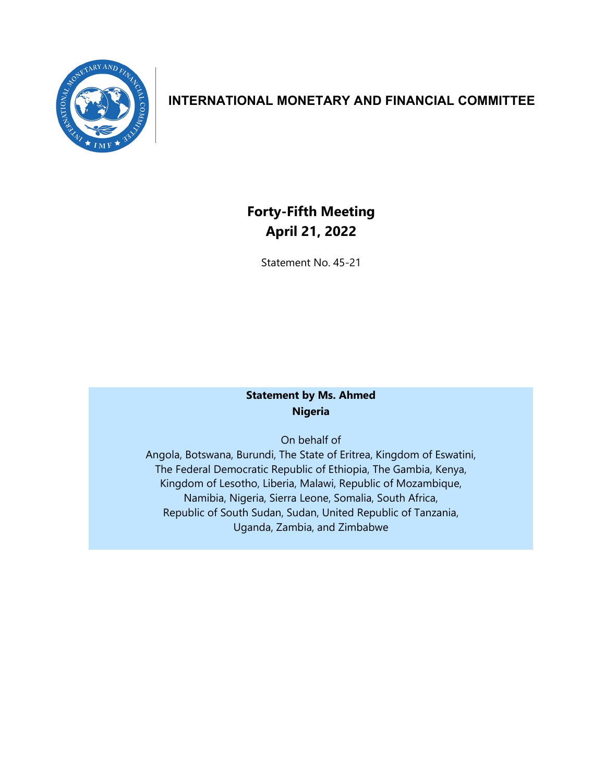

## **INTERNATIONAL MONETARY AND FINANCIAL COMMITTEE**

## **Forty-Fifth Meeting April 21, 2022**

Statement No. 45-21

## **Statement by Ms. Ahmed Nigeria**

On behalf of

Angola, Botswana, Burundi, The State of Eritrea, Kingdom of Eswatini, The Federal Democratic Republic of Ethiopia, The Gambia, Kenya, Kingdom of Lesotho, Liberia, Malawi, Republic of Mozambique, Namibia, Nigeria, Sierra Leone, Somalia, South Africa, Republic of South Sudan, Sudan, United Republic of Tanzania, Uganda, Zambia, and Zimbabwe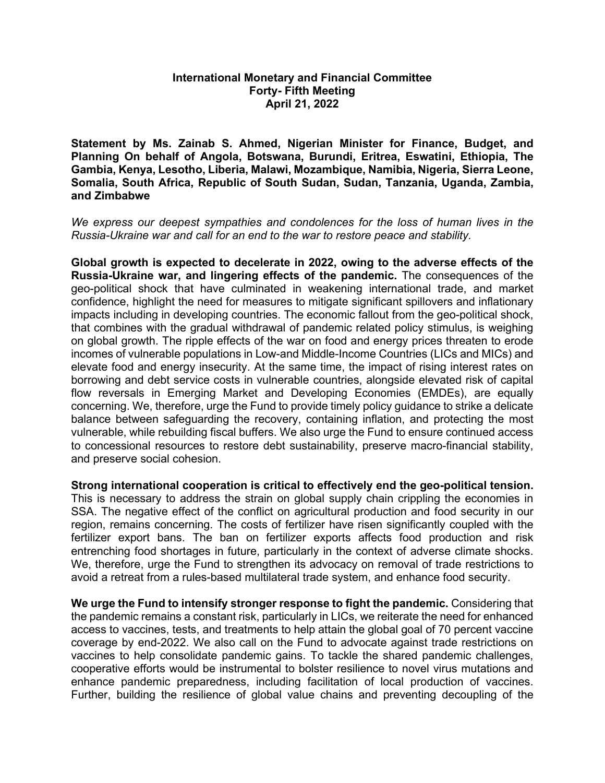## **International Monetary and Financial Committee Forty- Fifth Meeting April 21, 2022**

**Statement by Ms. Zainab S. Ahmed, Nigerian Minister for Finance, Budget, and Planning On behalf of Angola, Botswana, Burundi, Eritrea, Eswatini, Ethiopia, The Gambia, Kenya, Lesotho, Liberia, Malawi, Mozambique, Namibia, Nigeria, Sierra Leone, Somalia, South Africa, Republic of South Sudan, Sudan, Tanzania, Uganda, Zambia, and Zimbabwe**

*We express our deepest sympathies and condolences for the loss of human lives in the Russia-Ukraine war and call for an end to the war to restore peace and stability.* 

**Global growth is expected to decelerate in 2022, owing to the adverse effects of the Russia-Ukraine war, and lingering effects of the pandemic.** The consequences of the geo-political shock that have culminated in weakening international trade, and market confidence, highlight the need for measures to mitigate significant spillovers and inflationary impacts including in developing countries. The economic fallout from the geo-political shock, that combines with the gradual withdrawal of pandemic related policy stimulus, is weighing on global growth. The ripple effects of the war on food and energy prices threaten to erode incomes of vulnerable populations in Low-and Middle-Income Countries (LICs and MICs) and elevate food and energy insecurity. At the same time, the impact of rising interest rates on borrowing and debt service costs in vulnerable countries, alongside elevated risk of capital flow reversals in Emerging Market and Developing Economies (EMDEs), are equally concerning. We, therefore, urge the Fund to provide timely policy guidance to strike a delicate balance between safeguarding the recovery, containing inflation, and protecting the most vulnerable, while rebuilding fiscal buffers. We also urge the Fund to ensure continued access to concessional resources to restore debt sustainability, preserve macro-financial stability, and preserve social cohesion.

**Strong international cooperation is critical to effectively end the geo-political tension.**  This is necessary to address the strain on global supply chain crippling the economies in SSA. The negative effect of the conflict on agricultural production and food security in our region, remains concerning. The costs of fertilizer have risen significantly coupled with the fertilizer export bans. The ban on fertilizer exports affects food production and risk entrenching food shortages in future, particularly in the context of adverse climate shocks. We, therefore, urge the Fund to strengthen its advocacy on removal of trade restrictions to avoid a retreat from a rules-based multilateral trade system, and enhance food security.

**We urge the Fund to intensify stronger response to fight the pandemic.** Considering that the pandemic remains a constant risk, particularly in LICs, we reiterate the need for enhanced access to vaccines, tests, and treatments to help attain the global goal of 70 percent vaccine coverage by end-2022. We also call on the Fund to advocate against trade restrictions on vaccines to help consolidate pandemic gains. To tackle the shared pandemic challenges, cooperative efforts would be instrumental to bolster resilience to novel virus mutations and enhance pandemic preparedness, including facilitation of local production of vaccines. Further, building the resilience of global value chains and preventing decoupling of the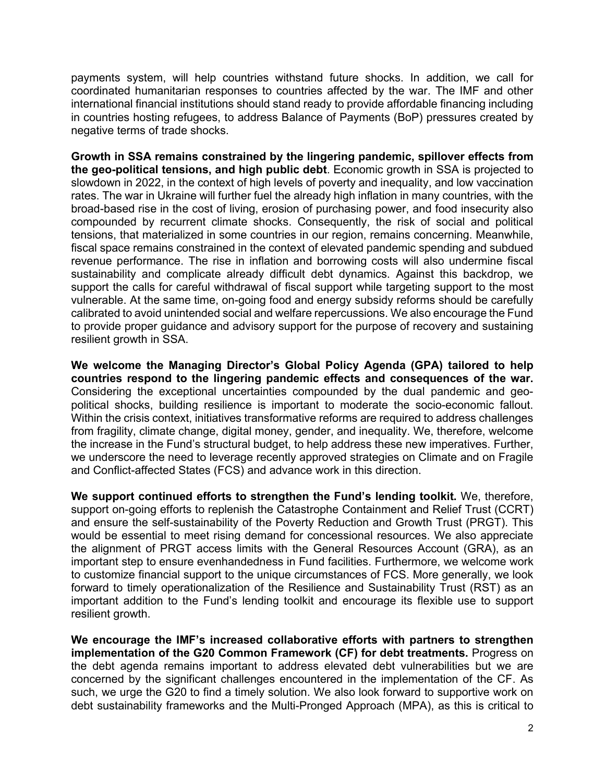payments system, will help countries withstand future shocks. In addition, we call for coordinated humanitarian responses to countries affected by the war. The IMF and other international financial institutions should stand ready to provide affordable financing including in countries hosting refugees, to address Balance of Payments (BoP) pressures created by negative terms of trade shocks.

**Growth in SSA remains constrained by the lingering pandemic, spillover effects from the geo-political tensions, and high public debt**. Economic growth in SSA is projected to slowdown in 2022, in the context of high levels of poverty and inequality, and low vaccination rates. The war in Ukraine will further fuel the already high inflation in many countries, with the broad-based rise in the cost of living, erosion of purchasing power, and food insecurity also compounded by recurrent climate shocks. Consequently, the risk of social and political tensions, that materialized in some countries in our region, remains concerning. Meanwhile, fiscal space remains constrained in the context of elevated pandemic spending and subdued revenue performance. The rise in inflation and borrowing costs will also undermine fiscal sustainability and complicate already difficult debt dynamics. Against this backdrop, we support the calls for careful withdrawal of fiscal support while targeting support to the most vulnerable. At the same time, on-going food and energy subsidy reforms should be carefully calibrated to avoid unintended social and welfare repercussions. We also encourage the Fund to provide proper guidance and advisory support for the purpose of recovery and sustaining resilient growth in SSA.

**We welcome the Managing Director's Global Policy Agenda (GPA) tailored to help countries respond to the lingering pandemic effects and consequences of the war.** Considering the exceptional uncertainties compounded by the dual pandemic and geopolitical shocks, building resilience is important to moderate the socio-economic fallout. Within the crisis context, initiatives transformative reforms are required to address challenges from fragility, climate change, digital money, gender, and inequality. We, therefore, welcome the increase in the Fund's structural budget, to help address these new imperatives. Further, we underscore the need to leverage recently approved strategies on Climate and on Fragile and Conflict-affected States (FCS) and advance work in this direction.

**We support continued efforts to strengthen the Fund's lending toolkit.** We, therefore, support on-going efforts to replenish the Catastrophe Containment and Relief Trust (CCRT) and ensure the self-sustainability of the Poverty Reduction and Growth Trust (PRGT). This would be essential to meet rising demand for concessional resources. We also appreciate the alignment of PRGT access limits with the General Resources Account (GRA), as an important step to ensure evenhandedness in Fund facilities. Furthermore, we welcome work to customize financial support to the unique circumstances of FCS. More generally, we look forward to timely operationalization of the Resilience and Sustainability Trust (RST) as an important addition to the Fund's lending toolkit and encourage its flexible use to support resilient growth.

**We encourage the IMF's increased collaborative efforts with partners to strengthen implementation of the G20 Common Framework (CF) for debt treatments.** Progress on the debt agenda remains important to address elevated debt vulnerabilities but we are concerned by the significant challenges encountered in the implementation of the CF. As such, we urge the G20 to find a timely solution. We also look forward to supportive work on debt sustainability frameworks and the Multi-Pronged Approach (MPA), as this is critical to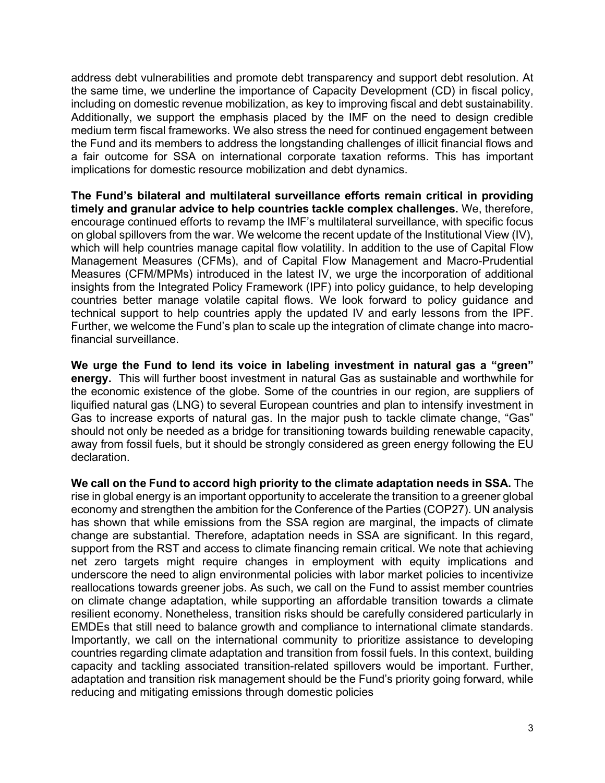address debt vulnerabilities and promote debt transparency and support debt resolution. At the same time, we underline the importance of Capacity Development (CD) in fiscal policy, including on domestic revenue mobilization, as key to improving fiscal and debt sustainability. Additionally, we support the emphasis placed by the IMF on the need to design credible medium term fiscal frameworks. We also stress the need for continued engagement between the Fund and its members to address the longstanding challenges of illicit financial flows and a fair outcome for SSA on international corporate taxation reforms. This has important implications for domestic resource mobilization and debt dynamics.

**The Fund's bilateral and multilateral surveillance efforts remain critical in providing timely and granular advice to help countries tackle complex challenges.** We, therefore, encourage continued efforts to revamp the IMF's multilateral surveillance, with specific focus on global spillovers from the war. We welcome the recent update of the Institutional View (IV), which will help countries manage capital flow volatility. In addition to the use of Capital Flow Management Measures (CFMs), and of Capital Flow Management and Macro-Prudential Measures (CFM/MPMs) introduced in the latest IV, we urge the incorporation of additional insights from the Integrated Policy Framework (IPF) into policy guidance, to help developing countries better manage volatile capital flows. We look forward to policy guidance and technical support to help countries apply the updated IV and early lessons from the IPF. Further, we welcome the Fund's plan to scale up the integration of climate change into macrofinancial surveillance.

**We urge the Fund to lend its voice in labeling investment in natural gas a "green" energy.** This will further boost investment in natural Gas as sustainable and worthwhile for the economic existence of the globe. Some of the countries in our region, are suppliers of liquified natural gas (LNG) to several European countries and plan to intensify investment in Gas to increase exports of natural gas. In the major push to tackle climate change, "Gas" should not only be needed as a bridge for transitioning towards building renewable capacity, away from fossil fuels, but it should be strongly considered as green energy following the EU declaration.

**We call on the Fund to accord high priority to the climate adaptation needs in SSA.** The rise in global energy is an important opportunity to accelerate the transition to a greener global economy and strengthen the ambition for the Conference of the Parties (COP27). UN analysis has shown that while emissions from the SSA region are marginal, the impacts of climate change are substantial. Therefore, adaptation needs in SSA are significant. In this regard, support from the RST and access to climate financing remain critical. We note that achieving net zero targets might require changes in employment with equity implications and underscore the need to align environmental policies with labor market policies to incentivize reallocations towards greener jobs. As such, we call on the Fund to assist member countries on climate change adaptation, while supporting an affordable transition towards a climate resilient economy. Nonetheless, transition risks should be carefully considered particularly in EMDEs that still need to balance growth and compliance to international climate standards. Importantly, we call on the international community to prioritize assistance to developing countries regarding climate adaptation and transition from fossil fuels. In this context, building capacity and tackling associated transition-related spillovers would be important. Further, adaptation and transition risk management should be the Fund's priority going forward, while reducing and mitigating emissions through domestic policies